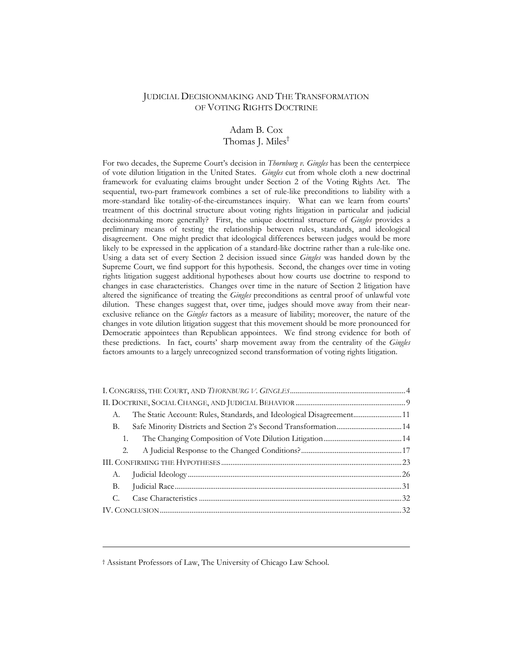# JUDICIAL DECISIONMAKING AND THE TRANSFORMATION OF VOTING RIGHTS DOCTRINE

# Adam B. Cox Thomas J. Miles<sup>†</sup>

For two decades, the Supreme Court's decision in *Thornburg v. Gingles* has been the centerpiece of vote dilution litigation in the United States. *Gingles* cut from whole cloth a new doctrinal framework for evaluating claims brought under Section 2 of the Voting Rights Act. The sequential, two-part framework combines a set of rule-like preconditions to liability with a more-standard like totality-of-the-circumstances inquiry. What can we learn from courts' treatment of this doctrinal structure about voting rights litigation in particular and judicial decisionmaking more generally? First, the unique doctrinal structure of *Gingles* provides a preliminary means of testing the relationship between rules, standards, and ideological disagreement. One might predict that ideological differences between judges would be more likely to be expressed in the application of a standard-like doctrine rather than a rule-like one. Using a data set of every Section 2 decision issued since *Gingles* was handed down by the Supreme Court, we find support for this hypothesis. Second, the changes over time in voting rights litigation suggest additional hypotheses about how courts use doctrine to respond to changes in case characteristics. Changes over time in the nature of Section 2 litigation have altered the significance of treating the *Gingles* preconditions as central proof of unlawful vote dilution. These changes suggest that, over time, judges should move away from their nearexclusive reliance on the *Gingles* factors as a measure of liability; moreover, the nature of the changes in vote dilution litigation suggest that this movement should be more pronounced for Democratic appointees than Republican appointees. We find strong evidence for both of these predictions. In fact, courts' sharp movement away from the centrality of the *Gingles* factors amounts to a largely unrecognized second transformation of voting rights litigation.

| A.                                                                     |  |
|------------------------------------------------------------------------|--|
| Safe Minority Districts and Section 2's Second Transformation 14<br>В. |  |
| 1.                                                                     |  |
| 2.                                                                     |  |
|                                                                        |  |
| А.                                                                     |  |
| B.                                                                     |  |
| С.                                                                     |  |
|                                                                        |  |

† Assistant Professors of Law, The University of Chicago Law School.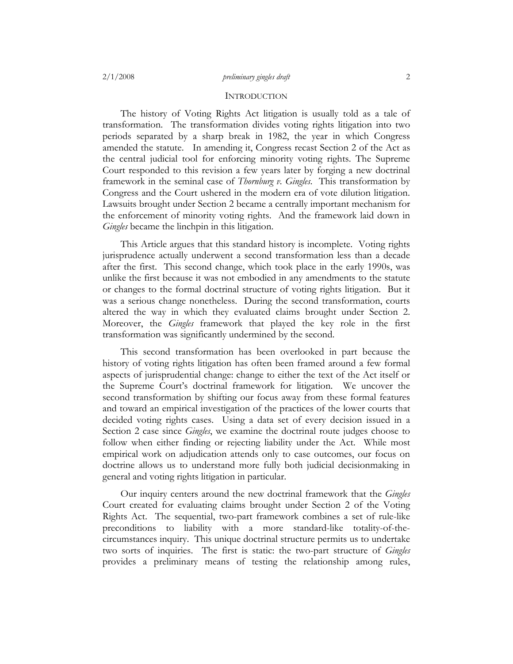#### **INTRODUCTION**

The history of Voting Rights Act litigation is usually told as a tale of transformation. The transformation divides voting rights litigation into two periods separated by a sharp break in 1982, the year in which Congress amended the statute. In amending it, Congress recast Section 2 of the Act as the central judicial tool for enforcing minority voting rights. The Supreme Court responded to this revision a few years later by forging a new doctrinal framework in the seminal case of *Thornburg v. Gingles*. This transformation by Congress and the Court ushered in the modern era of vote dilution litigation. Lawsuits brought under Section 2 became a centrally important mechanism for the enforcement of minority voting rights. And the framework laid down in *Gingles* became the linchpin in this litigation.

This Article argues that this standard history is incomplete. Voting rights jurisprudence actually underwent a second transformation less than a decade after the first. This second change, which took place in the early 1990s, was unlike the first because it was not embodied in any amendments to the statute or changes to the formal doctrinal structure of voting rights litigation. But it was a serious change nonetheless. During the second transformation, courts altered the way in which they evaluated claims brought under Section 2. Moreover, the *Gingles* framework that played the key role in the first transformation was significantly undermined by the second.

This second transformation has been overlooked in part because the history of voting rights litigation has often been framed around a few formal aspects of jurisprudential change: change to either the text of the Act itself or the Supreme Court's doctrinal framework for litigation. We uncover the second transformation by shifting our focus away from these formal features and toward an empirical investigation of the practices of the lower courts that decided voting rights cases. Using a data set of every decision issued in a Section 2 case since *Gingles*, we examine the doctrinal route judges choose to follow when either finding or rejecting liability under the Act. While most empirical work on adjudication attends only to case outcomes, our focus on doctrine allows us to understand more fully both judicial decisionmaking in general and voting rights litigation in particular.

Our inquiry centers around the new doctrinal framework that the *Gingles* Court created for evaluating claims brought under Section 2 of the Voting Rights Act. The sequential, two-part framework combines a set of rule-like preconditions to liability with a more standard-like totality-of-thecircumstances inquiry. This unique doctrinal structure permits us to undertake two sorts of inquiries. The first is static: the two-part structure of *Gingles* provides a preliminary means of testing the relationship among rules,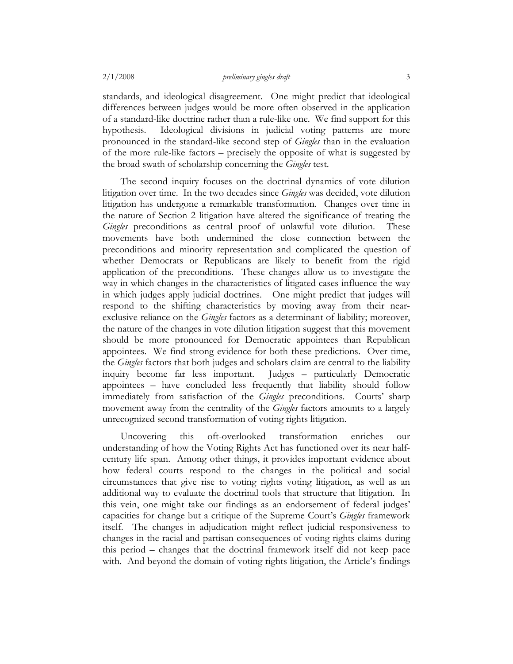standards, and ideological disagreement. One might predict that ideological differences between judges would be more often observed in the application of a standard-like doctrine rather than a rule-like one. We find support for this hypothesis. Ideological divisions in judicial voting patterns are more pronounced in the standard-like second step of *Gingles* than in the evaluation of the more rule-like factors – precisely the opposite of what is suggested by the broad swath of scholarship concerning the *Gingles* test.

The second inquiry focuses on the doctrinal dynamics of vote dilution litigation over time. In the two decades since *Gingles* was decided, vote dilution litigation has undergone a remarkable transformation. Changes over time in the nature of Section 2 litigation have altered the significance of treating the *Gingles* preconditions as central proof of unlawful vote dilution. These movements have both undermined the close connection between the preconditions and minority representation and complicated the question of whether Democrats or Republicans are likely to benefit from the rigid application of the preconditions. These changes allow us to investigate the way in which changes in the characteristics of litigated cases influence the way in which judges apply judicial doctrines. One might predict that judges will respond to the shifting characteristics by moving away from their nearexclusive reliance on the *Gingles* factors as a determinant of liability; moreover, the nature of the changes in vote dilution litigation suggest that this movement should be more pronounced for Democratic appointees than Republican appointees. We find strong evidence for both these predictions. Over time, the *Gingles* factors that both judges and scholars claim are central to the liability inquiry become far less important. Judges – particularly Democratic appointees – have concluded less frequently that liability should follow immediately from satisfaction of the *Gingles* preconditions. Courts' sharp movement away from the centrality of the *Gingles* factors amounts to a largely unrecognized second transformation of voting rights litigation.

Uncovering this oft-overlooked transformation enriches our understanding of how the Voting Rights Act has functioned over its near halfcentury life span. Among other things, it provides important evidence about how federal courts respond to the changes in the political and social circumstances that give rise to voting rights voting litigation, as well as an additional way to evaluate the doctrinal tools that structure that litigation. In this vein, one might take our findings as an endorsement of federal judges' capacities for change but a critique of the Supreme Court's *Gingles* framework itself. The changes in adjudication might reflect judicial responsiveness to changes in the racial and partisan consequences of voting rights claims during this period – changes that the doctrinal framework itself did not keep pace with. And beyond the domain of voting rights litigation, the Article's findings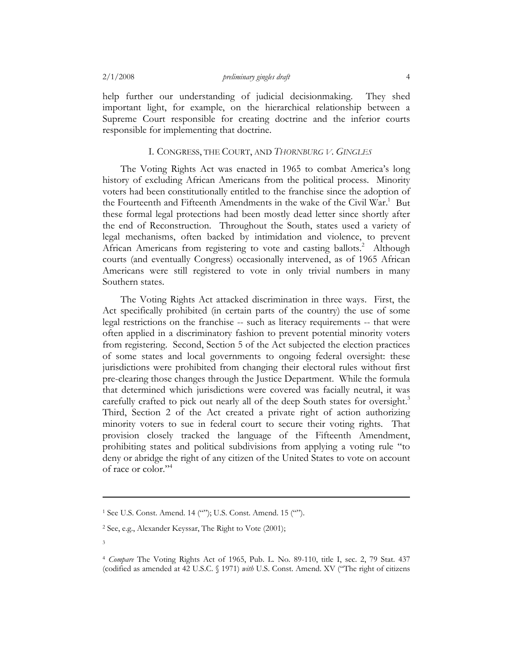help further our understanding of judicial decisionmaking. They shed important light, for example, on the hierarchical relationship between a Supreme Court responsible for creating doctrine and the inferior courts responsible for implementing that doctrine.

# I. CONGRESS, THE COURT, AND *THORNBURG V. GINGLES*

The Voting Rights Act was enacted in 1965 to combat America's long history of excluding African Americans from the political process. Minority voters had been constitutionally entitled to the franchise since the adoption of the Fourteenth and Fifteenth Amendments in the wake of the Civil War.<sup>1</sup> But these formal legal protections had been mostly dead letter since shortly after the end of Reconstruction. Throughout the South, states used a variety of legal mechanisms, often backed by intimidation and violence, to prevent African Americans from registering to vote and casting ballots.<sup>2</sup> Although courts (and eventually Congress) occasionally intervened, as of 1965 African Americans were still registered to vote in only trivial numbers in many Southern states.

The Voting Rights Act attacked discrimination in three ways. First, the Act specifically prohibited (in certain parts of the country) the use of some legal restrictions on the franchise -- such as literacy requirements -- that were often applied in a discriminatory fashion to prevent potential minority voters from registering. Second, Section 5 of the Act subjected the election practices of some states and local governments to ongoing federal oversight: these jurisdictions were prohibited from changing their electoral rules without first pre-clearing those changes through the Justice Department. While the formula that determined which jurisdictions were covered was facially neutral, it was carefully crafted to pick out nearly all of the deep South states for oversight.<sup>3</sup> Third, Section 2 of the Act created a private right of action authorizing minority voters to sue in federal court to secure their voting rights. That provision closely tracked the language of the Fifteenth Amendment, prohibiting states and political subdivisions from applying a voting rule "to deny or abridge the right of any citizen of the United States to vote on account of race or color."4

<sup>1</sup> See U.S. Const. Amend. 14 (""); U.S. Const. Amend. 15 ("").

<sup>2</sup> See, e.g., Alexander Keyssar, The Right to Vote (2001);

<sup>3</sup> 

<sup>4</sup> *Compare* The Voting Rights Act of 1965, Pub. L. No. 89-110, title I, sec. 2, 79 Stat. 437 (codified as amended at 42 U.S.C. § 1971) *with* U.S. Const. Amend. XV ("The right of citizens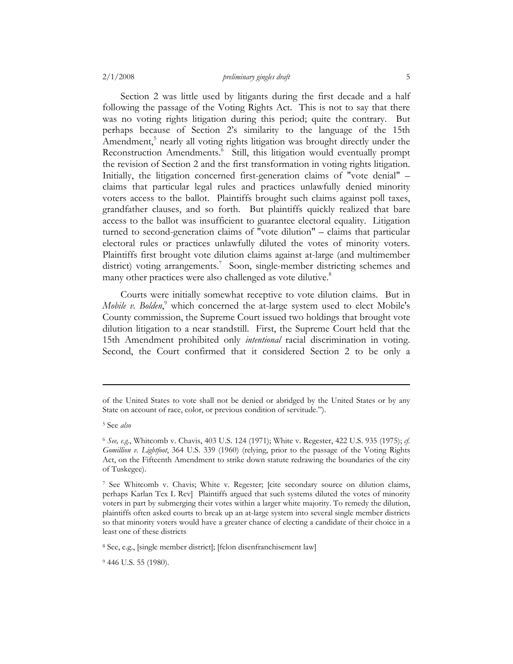Section 2 was little used by litigants during the first decade and a half following the passage of the Voting Rights Act. This is not to say that there was no voting rights litigation during this period; quite the contrary. But perhaps because of Section 2's similarity to the language of the 15th Amendment,<sup>5</sup> nearly all voting rights litigation was brought directly under the Reconstruction Amendments.<sup>6</sup> Still, this litigation would eventually prompt the revision of Section 2 and the first transformation in voting rights litigation. Initially, the litigation concerned first-generation claims of "vote denial" – claims that particular legal rules and practices unlawfully denied minority voters access to the ballot. Plaintiffs brought such claims against poll taxes, grandfather clauses, and so forth. But plaintiffs quickly realized that bare access to the ballot was insufficient to guarantee electoral equality. Litigation turned to second-generation claims of "vote dilution" – claims that particular electoral rules or practices unlawfully diluted the votes of minority voters. Plaintiffs first brought vote dilution claims against at-large (and multimember district) voting arrangements.<sup>7</sup> Soon, single-member districting schemes and many other practices were also challenged as vote dilutive.<sup>8</sup>

Courts were initially somewhat receptive to vote dilution claims. But in Mobile v. Bolden,<sup>9</sup> which concerned the at-large system used to elect Mobile's County commission, the Supreme Court issued two holdings that brought vote dilution litigation to a near standstill. First, the Supreme Court held that the 15th Amendment prohibited only *intentional* racial discrimination in voting. Second, the Court confirmed that it considered Section 2 to be only a

of the United States to vote shall not be denied or abridged by the United States or by any State on account of race, color, or previous condition of servitude.").

<sup>5</sup> See *also*

<sup>6</sup> *See, e.g.*, Whitcomb v. Chavis, 403 U.S. 124 (1971); White v. Regester, 422 U.S. 935 (1975); *cf. Gomillion v. Lightfoot*, 364 U.S. 339 (1960) (relying, prior to the passage of the Voting Rights Act, on the Fifteenth Amendment to strike down statute redrawing the boundaries of the city of Tuskegee).

<sup>7</sup> See Whitcomb v. Chavis; White v. Regester; [cite secondary source on dilution claims, perhaps Karlan Tex L Rev] Plaintiffs argued that such systems diluted the votes of minority voters in part by submerging their votes within a larger white majority. To remedy the dilution, plaintiffs often asked courts to break up an at-large system into several single member districts so that minority voters would have a greater chance of electing a candidate of their choice in a least one of these districts

<sup>8</sup> See, e.g., [single member district]; [felon disenfranchisement law]

<sup>9 446</sup> U.S. 55 (1980).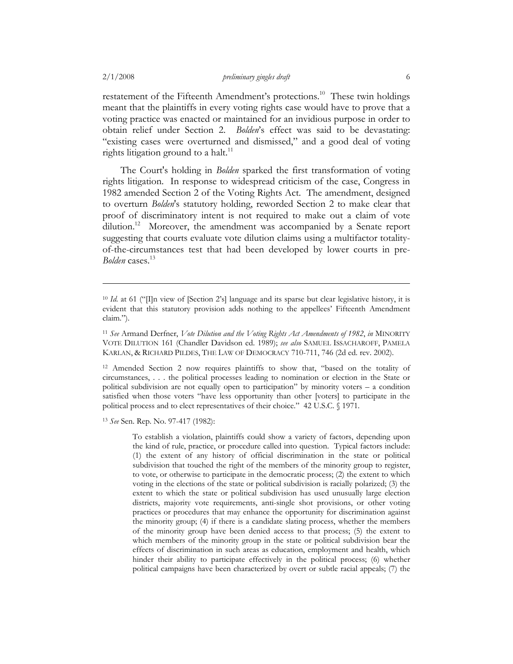restatement of the Fifteenth Amendment's protections.<sup>10</sup> These twin holdings meant that the plaintiffs in every voting rights case would have to prove that a voting practice was enacted or maintained for an invidious purpose in order to obtain relief under Section 2. *Bolden*'s effect was said to be devastating: "existing cases were overturned and dismissed," and a good deal of voting rights litigation ground to a halt.<sup>11</sup>

The Court's holding in *Bolden* sparked the first transformation of voting rights litigation. In response to widespread criticism of the case, Congress in 1982 amended Section 2 of the Voting Rights Act. The amendment, designed to overturn *Bolden*'s statutory holding, reworded Section 2 to make clear that proof of discriminatory intent is not required to make out a claim of vote dilution.<sup>12</sup> Moreover, the amendment was accompanied by a Senate report suggesting that courts evaluate vote dilution claims using a multifactor totalityof-the-circumstances test that had been developed by lower courts in pre-*Bolden* cases. 13

12 Amended Section 2 now requires plaintiffs to show that, "based on the totality of circumstances, . . . the political processes leading to nomination or election in the State or political subdivision are not equally open to participation" by minority voters – a condition satisfied when those voters "have less opportunity than other [voters] to participate in the political process and to elect representatives of their choice." 42 U.S.C. § 1971.

<sup>13</sup> *See* Sen. Rep. No. 97-417 (1982):

To establish a violation, plaintiffs could show a variety of factors, depending upon the kind of rule, practice, or procedure called into question. Typical factors include: (1) the extent of any history of official discrimination in the state or political subdivision that touched the right of the members of the minority group to register, to vote, or otherwise to participate in the democratic process; (2) the extent to which voting in the elections of the state or political subdivision is racially polarized; (3) the extent to which the state or political subdivision has used unusually large election districts, majority vote requirements, anti-single shot provisions, or other voting practices or procedures that may enhance the opportunity for discrimination against the minority group; (4) if there is a candidate slating process, whether the members of the minority group have been denied access to that process; (5) the extent to which members of the minority group in the state or political subdivision bear the effects of discrimination in such areas as education, employment and health, which hinder their ability to participate effectively in the political process; (6) whether political campaigns have been characterized by overt or subtle racial appeals; (7) the

<sup>&</sup>lt;sup>10</sup> *Id.* at 61 ("I]n view of [Section 2's] language and its sparse but clear legislative history, it is evident that this statutory provision adds nothing to the appellees' Fifteenth Amendment claim.").

<sup>11</sup> *See* Armand Derfner, *Vote Dilution and the Voting Rights Act Amendments of 1982*, *in* MINORITY VOTE DILUTION 161 (Chandler Davidson ed. 1989); *see also* SAMUEL ISSACHAROFF, PAMELA KARLAN, & RICHARD PILDES, THE LAW OF DEMOCRACY 710-711, 746 (2d ed. rev. 2002).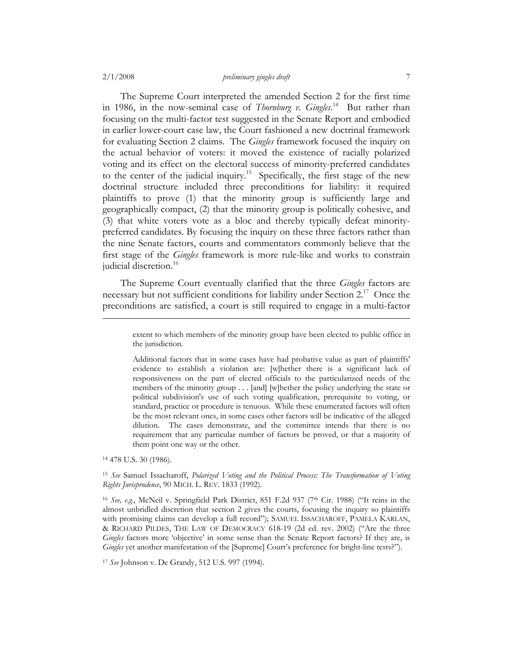The Supreme Court interpreted the amended Section 2 for the first time in 1986, in the now-seminal case of *Thornburg v. Gingles*. 14 But rather than focusing on the multi-factor test suggested in the Senate Report and embodied in earlier lower-court case law, the Court fashioned a new doctrinal framework for evaluating Section 2 claims. The *Gingles* framework focused the inquiry on the actual behavior of voters: it moved the existence of racially polarized voting and its effect on the electoral success of minority-preferred candidates to the center of the judicial inquiry.15 Specifically, the first stage of the new doctrinal structure included three preconditions for liability: it required plaintiffs to prove (1) that the minority group is sufficiently large and geographically compact, (2) that the minority group is politically cohesive, and (3) that white voters vote as a bloc and thereby typically defeat minoritypreferred candidates. By focusing the inquiry on these three factors rather than the nine Senate factors, courts and commentators commonly believe that the first stage of the *Gingles* framework is more rule-like and works to constrain judicial discretion.<sup>16</sup>

The Supreme Court eventually clarified that the three *Gingles* factors are necessary but not sufficient conditions for liability under Section 2.<sup>17</sup> Once the preconditions are satisfied, a court is still required to engage in a multi-factor

14 478 U.S. 30 (1986).

extent to which members of the minority group have been elected to public office in the jurisdiction.

Additional factors that in some cases have had probative value as part of plaintiffs' evidence to establish a violation are: [w]hether there is a significant lack of responsiveness on the part of elected officials to the particularized needs of the members of the minority group . . . [and] [w]hether the policy underlying the state or political subdivision's use of such voting qualification, prerequisite to voting, or standard, practice or procedure is tenuous. While these enumerated factors will often be the most relevant ones, in some cases other factors will be indicative of the alleged dilution. The cases demonstrate, and the committee intends that there is no requirement that any particular number of factors be proved, or that a majority of them point one way or the other.

<sup>15</sup> *See* Samuel Issacharoff, *Polarized Voting and the Political Process: The Transformation of Voting Rights Jurisprudence*, 90 MICH. L. REV. 1833 (1992).

<sup>&</sup>lt;sup>16</sup> *See, e.g.*, McNeil v. Springfield Park District, 851 F.2d 937 (7<sup>th</sup> Cir. 1988) ("It reins in the almost unbridled discretion that section 2 gives the courts, focusing the inquiry so plaintiffs with promising claims can develop a full record"); SAMUEL ISSACHAROFF, PAMELA KARLAN, & RICHARD PILDES, THE LAW OF DEMOCRACY 618-19 (2d ed. rev. 2002) ("Are the three *Gingles* factors more 'objective' in some sense than the Senate Report factors? If they are, is *Gingles* yet another manifestation of the [Supreme] Court's preference for bright-line tests?").

<sup>17</sup> *See* Johnson v. De Grandy, 512 U.S. 997 (1994).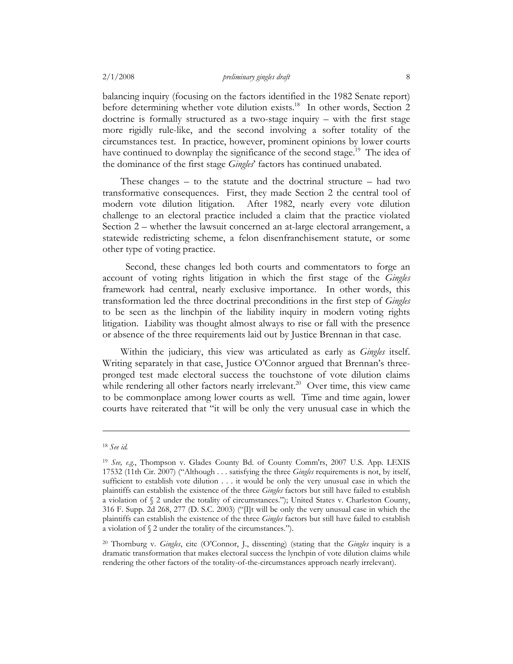balancing inquiry (focusing on the factors identified in the 1982 Senate report) before determining whether vote dilution exists.<sup>18</sup> In other words, Section 2 doctrine is formally structured as a two-stage inquiry – with the first stage more rigidly rule-like, and the second involving a softer totality of the circumstances test. In practice, however, prominent opinions by lower courts have continued to downplay the significance of the second stage.<sup>19</sup> The idea of the dominance of the first stage *Gingles*' factors has continued unabated.

These changes – to the statute and the doctrinal structure – had two transformative consequences. First, they made Section 2 the central tool of modern vote dilution litigation. After 1982, nearly every vote dilution challenge to an electoral practice included a claim that the practice violated Section 2 – whether the lawsuit concerned an at-large electoral arrangement, a statewide redistricting scheme, a felon disenfranchisement statute, or some other type of voting practice.

 Second, these changes led both courts and commentators to forge an account of voting rights litigation in which the first stage of the *Gingles*  framework had central, nearly exclusive importance. In other words, this transformation led the three doctrinal preconditions in the first step of *Gingles* to be seen as the linchpin of the liability inquiry in modern voting rights litigation. Liability was thought almost always to rise or fall with the presence or absence of the three requirements laid out by Justice Brennan in that case.

Within the judiciary, this view was articulated as early as *Gingles* itself. Writing separately in that case, Justice O'Connor argued that Brennan's threepronged test made electoral success the touchstone of vote dilution claims while rendering all other factors nearly irrelevant.<sup>20</sup> Over time, this view came to be commonplace among lower courts as well. Time and time again, lower courts have reiterated that "it will be only the very unusual case in which the

<sup>18</sup> *See id.*

<sup>19</sup> *See, e.g.*, Thompson v. Glades County Bd. of County Comm'rs, 2007 U.S. App. LEXIS 17532 (11th Cir. 2007) ("Although . . . satisfying the three *Gingles* requirements is not, by itself, sufficient to establish vote dilution . . . it would be only the very unusual case in which the plaintiffs can establish the existence of the three *Gingles* factors but still have failed to establish a violation of  $\S$  2 under the totality of circumstances."); United States v. Charleston County, 316 F. Supp. 2d 268, 277 (D. S.C. 2003) ("[I]t will be only the very unusual case in which the plaintiffs can establish the existence of the three *Gingles* factors but still have failed to establish a violation of § 2 under the totality of the circumstances.").

<sup>20</sup> Thornburg v. *Gingles*, cite (O'Connor, J., dissenting) (stating that the *Gingles* inquiry is a dramatic transformation that makes electoral success the lynchpin of vote dilution claims while rendering the other factors of the totality-of-the-circumstances approach nearly irrelevant).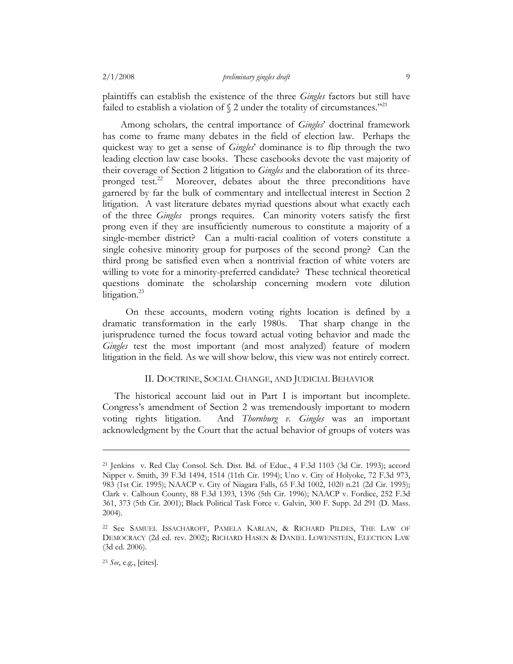plaintiffs can establish the existence of the three *Gingles* factors but still have failed to establish a violation of  $\S$  2 under the totality of circumstances."<sup>21</sup>

Among scholars, the central importance of *Gingles*' doctrinal framework has come to frame many debates in the field of election law. Perhaps the quickest way to get a sense of *Gingles*' dominance is to flip through the two leading election law case books. These casebooks devote the vast majority of their coverage of Section 2 litigation to *Gingles* and the elaboration of its threepronged test.<sup>22</sup> Moreover, debates about the three preconditions have garnered by far the bulk of commentary and intellectual interest in Section 2 litigation. A vast literature debates myriad questions about what exactly each of the three *Gingles* prongs requires. Can minority voters satisfy the first prong even if they are insufficiently numerous to constitute a majority of a single-member district? Can a multi-racial coalition of voters constitute a single cohesive minority group for purposes of the second prong? Can the third prong be satisfied even when a nontrivial fraction of white voters are willing to vote for a minority-preferred candidate? These technical theoretical questions dominate the scholarship concerning modern vote dilution litigation. $^{23}$ 

 On these accounts, modern voting rights location is defined by a dramatic transformation in the early 1980s. That sharp change in the jurisprudence turned the focus toward actual voting behavior and made the *Gingles* test the most important (and most analyzed) feature of modern litigation in the field. As we will show below, this view was not entirely correct.

# II. DOCTRINE, SOCIAL CHANGE, AND JUDICIAL BEHAVIOR

The historical account laid out in Part I is important but incomplete. Congress's amendment of Section 2 was tremendously important to modern voting rights litigation. And *Thornburg v. Gingles* was an important acknowledgment by the Court that the actual behavior of groups of voters was

<sup>21</sup> Jenkins v. Red Clay Consol. Sch. Dist. Bd. of Educ., 4 F.3d 1103 (3d Cir. 1993); accord Nipper v. Smith, 39 F.3d 1494, 1514 (11th Cir. 1994); Uno v. City of Holyoke, 72 F.3d 973, 983 (1st Cir. 1995); NAACP v. City of Niagara Falls, 65 F.3d 1002, 1020 n.21 (2d Cir. 1995); Clark v. Calhoun County, 88 F.3d 1393, 1396 (5th Cir. 1996); NAACP v. Fordice, 252 F.3d 361, 373 (5th Cir. 2001); Black Political Task Force v. Galvin, 300 F. Supp. 2d 291 (D. Mass. 2004).

<sup>22</sup> See SAMUEL ISSACHAROFF, PAMELA KARLAN, & RICHARD PILDES, THE LAW OF DEMOCRACY (2d ed. rev. 2002); RICHARD HASEN & DANIEL LOWENSTEIN, ELECTION LAW (3d ed. 2006).

<sup>23</sup> *See*, e.g., [cites].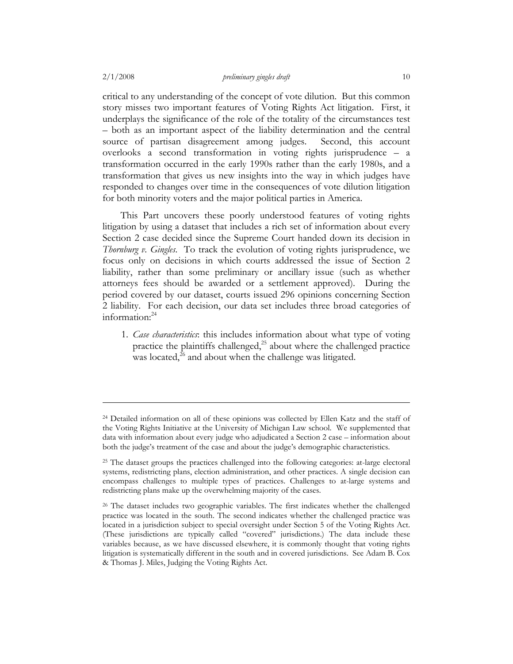critical to any understanding of the concept of vote dilution. But this common story misses two important features of Voting Rights Act litigation. First, it underplays the significance of the role of the totality of the circumstances test – both as an important aspect of the liability determination and the central source of partisan disagreement among judges. Second, this account overlooks a second transformation in voting rights jurisprudence – a transformation occurred in the early 1990s rather than the early 1980s, and a transformation that gives us new insights into the way in which judges have responded to changes over time in the consequences of vote dilution litigation for both minority voters and the major political parties in America.

This Part uncovers these poorly understood features of voting rights litigation by using a dataset that includes a rich set of information about every Section 2 case decided since the Supreme Court handed down its decision in *Thornburg v. Gingles*. To track the evolution of voting rights jurisprudence, we focus only on decisions in which courts addressed the issue of Section 2 liability, rather than some preliminary or ancillary issue (such as whether attorneys fees should be awarded or a settlement approved). During the period covered by our dataset, courts issued 296 opinions concerning Section 2 liability. For each decision, our data set includes three broad categories of information: $24$ 

1. *Case characteristics*: this includes information about what type of voting practice the plaintiffs challenged, $^{25}$  about where the challenged practice was located, $^{26}$  and about when the challenge was litigated.

<sup>24</sup> Detailed information on all of these opinions was collected by Ellen Katz and the staff of the Voting Rights Initiative at the University of Michigan Law school. We supplemented that data with information about every judge who adjudicated a Section 2 case – information about both the judge's treatment of the case and about the judge's demographic characteristics.

<sup>&</sup>lt;sup>25</sup> The dataset groups the practices challenged into the following categories: at-large electoral systems, redistricting plans, election administration, and other practices. A single decision can encompass challenges to multiple types of practices. Challenges to at-large systems and redistricting plans make up the overwhelming majority of the cases.

<sup>&</sup>lt;sup>26</sup> The dataset includes two geographic variables. The first indicates whether the challenged practice was located in the south. The second indicates whether the challenged practice was located in a jurisdiction subject to special oversight under Section 5 of the Voting Rights Act. (These jurisdictions are typically called "covered" jurisdictions.) The data include these variables because, as we have discussed elsewhere, it is commonly thought that voting rights litigation is systematically different in the south and in covered jurisdictions. See Adam B. Cox & Thomas J. Miles, Judging the Voting Rights Act.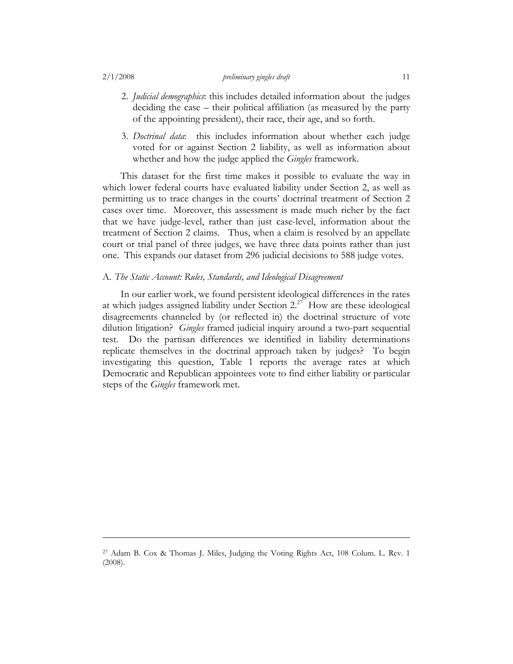#### 2/1/2008 *preliminary gingles draft* 11

- 2. *Judicial demographics*: this includes detailed information about the judges deciding the case – their political affiliation (as measured by the party of the appointing president), their race, their age, and so forth.
- 3. *Doctrinal data*: this includes information about whether each judge voted for or against Section 2 liability, as well as information about whether and how the judge applied the *Gingles* framework.

This dataset for the first time makes it possible to evaluate the way in which lower federal courts have evaluated liability under Section 2, as well as permitting us to trace changes in the courts' doctrinal treatment of Section 2 cases over time. Moreover, this assessment is made much richer by the fact that we have judge-level, rather than just case-level, information about the treatment of Section 2 claims. Thus, when a claim is resolved by an appellate court or trial panel of three judges, we have three data points rather than just one. This expands our dataset from 296 judicial decisions to 588 judge votes.

### A. *The Static Account: Rules, Standards, and Ideological Disagreement*

In our earlier work, we found persistent ideological differences in the rates at which judges assigned liability under Section  $2.27$  How are these ideological disagreements channeled by (or reflected in) the doctrinal structure of vote dilution litigation? *Gingles* framed judicial inquiry around a two-part sequential test. Do the partisan differences we identified in liability determinations replicate themselves in the doctrinal approach taken by judges? To begin investigating this question, Table 1 reports the average rates at which Democratic and Republican appointees vote to find either liability or particular steps of the *Gingles* framework met.

<sup>27</sup> Adam B. Cox & Thomas J. Miles, Judging the Voting Rights Act, 108 Colum. L. Rev. 1 (2008).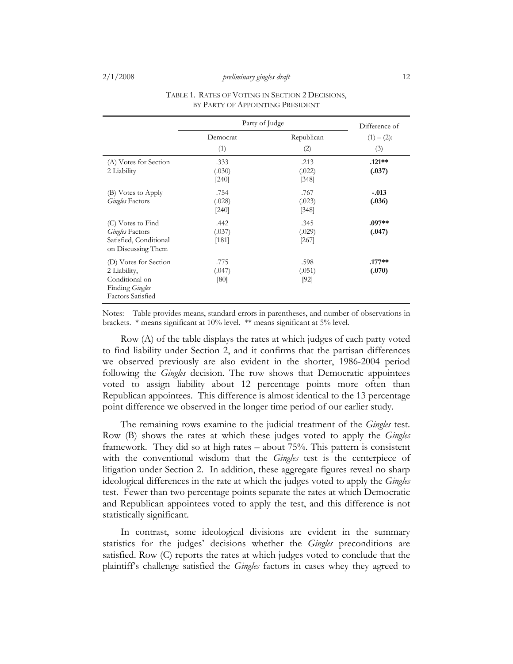|                                                                                                        | Party of Judge            | Difference of             |                      |
|--------------------------------------------------------------------------------------------------------|---------------------------|---------------------------|----------------------|
|                                                                                                        | Democrat<br>(1)           | Republican<br>(2)         | $(1) - (2)$ :<br>(3) |
| (A) Votes for Section<br>2 Liability                                                                   | .333<br>(.030)<br>$[240]$ | .213<br>(.022)<br>[348]   | $.121**$<br>(.037)   |
| (B) Votes to Apply<br><b>Gingles Factors</b>                                                           | .754<br>(.028)<br>$[240]$ | .767<br>(.023)<br>$[348]$ | $-.013$<br>(.036)    |
| (C) Votes to Find<br><b>Gingles Factors</b><br>Satisfied, Conditional<br>on Discussing Them            | .442<br>(.037)<br>[181]   | .345<br>(.029)<br>[267]   | $.097**$<br>(.047)   |
| (D) Votes for Section<br>2 Liability,<br>Conditional on<br>Finding Gingles<br><b>Factors Satisfied</b> | .775<br>(.047)<br>[80]    | .598<br>(.051)<br>$[92]$  | $.177**$<br>(.070)   |

#### TABLE 1. RATES OF VOTING IN SECTION 2 DECISIONS, BY PARTY OF APPOINTING PRESIDENT

Notes: Table provides means, standard errors in parentheses, and number of observations in brackets. \* means significant at 10% level. \*\* means significant at 5% level.

Row (A) of the table displays the rates at which judges of each party voted to find liability under Section 2, and it confirms that the partisan differences we observed previously are also evident in the shorter, 1986-2004 period following the *Gingles* decision. The row shows that Democratic appointees voted to assign liability about 12 percentage points more often than Republican appointees. This difference is almost identical to the 13 percentage point difference we observed in the longer time period of our earlier study.

The remaining rows examine to the judicial treatment of the *Gingles* test. Row (B) shows the rates at which these judges voted to apply the *Gingles* framework. They did so at high rates – about 75%. This pattern is consistent with the conventional wisdom that the *Gingles* test is the centerpiece of litigation under Section 2. In addition, these aggregate figures reveal no sharp ideological differences in the rate at which the judges voted to apply the *Gingles* test. Fewer than two percentage points separate the rates at which Democratic and Republican appointees voted to apply the test, and this difference is not statistically significant.

In contrast, some ideological divisions are evident in the summary statistics for the judges' decisions whether the *Gingles* preconditions are satisfied. Row (C) reports the rates at which judges voted to conclude that the plaintiff's challenge satisfied the *Gingles* factors in cases whey they agreed to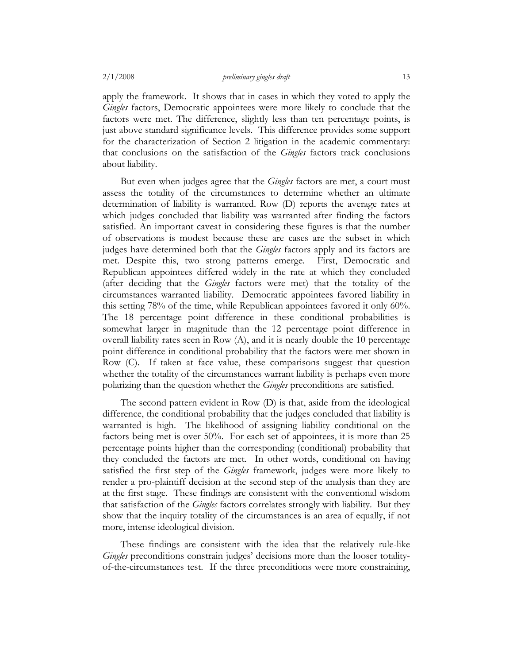apply the framework. It shows that in cases in which they voted to apply the *Gingles* factors, Democratic appointees were more likely to conclude that the factors were met. The difference, slightly less than ten percentage points, is just above standard significance levels. This difference provides some support for the characterization of Section 2 litigation in the academic commentary: that conclusions on the satisfaction of the *Gingles* factors track conclusions about liability.

But even when judges agree that the *Gingles* factors are met, a court must assess the totality of the circumstances to determine whether an ultimate determination of liability is warranted. Row (D) reports the average rates at which judges concluded that liability was warranted after finding the factors satisfied. An important caveat in considering these figures is that the number of observations is modest because these are cases are the subset in which judges have determined both that the *Gingles* factors apply and its factors are met. Despite this, two strong patterns emerge. First, Democratic and Republican appointees differed widely in the rate at which they concluded (after deciding that the *Gingles* factors were met) that the totality of the circumstances warranted liability. Democratic appointees favored liability in this setting 78% of the time, while Republican appointees favored it only 60%. The 18 percentage point difference in these conditional probabilities is somewhat larger in magnitude than the 12 percentage point difference in overall liability rates seen in Row (A), and it is nearly double the 10 percentage point difference in conditional probability that the factors were met shown in Row (C). If taken at face value, these comparisons suggest that question whether the totality of the circumstances warrant liability is perhaps even more polarizing than the question whether the *Gingles* preconditions are satisfied.

The second pattern evident in Row (D) is that, aside from the ideological difference, the conditional probability that the judges concluded that liability is warranted is high. The likelihood of assigning liability conditional on the factors being met is over 50%. For each set of appointees, it is more than 25 percentage points higher than the corresponding (conditional) probability that they concluded the factors are met. In other words, conditional on having satisfied the first step of the *Gingles* framework, judges were more likely to render a pro-plaintiff decision at the second step of the analysis than they are at the first stage. These findings are consistent with the conventional wisdom that satisfaction of the *Gingles* factors correlates strongly with liability. But they show that the inquiry totality of the circumstances is an area of equally, if not more, intense ideological division.

These findings are consistent with the idea that the relatively rule-like *Gingles* preconditions constrain judges' decisions more than the looser totalityof-the-circumstances test. If the three preconditions were more constraining,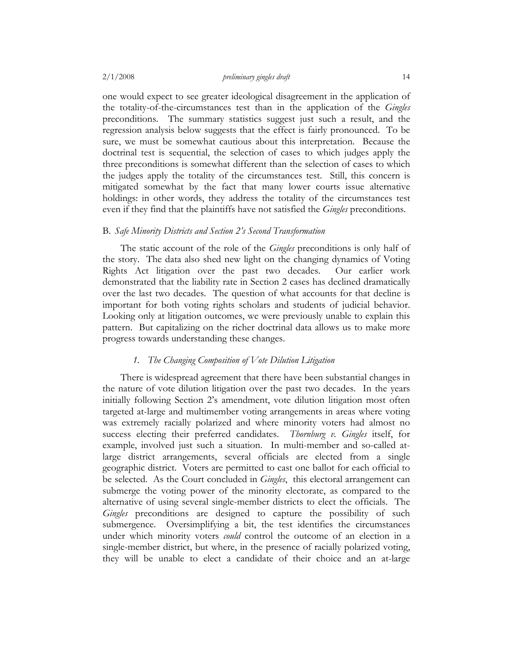one would expect to see greater ideological disagreement in the application of the totality-of-the-circumstances test than in the application of the *Gingles* preconditions. The summary statistics suggest just such a result, and the regression analysis below suggests that the effect is fairly pronounced. To be sure, we must be somewhat cautious about this interpretation. Because the doctrinal test is sequential, the selection of cases to which judges apply the three preconditions is somewhat different than the selection of cases to which the judges apply the totality of the circumstances test. Still, this concern is mitigated somewhat by the fact that many lower courts issue alternative holdings: in other words, they address the totality of the circumstances test even if they find that the plaintiffs have not satisfied the *Gingles* preconditions.

## B. *Safe Minority Districts and Section 2's Second Transformation*

The static account of the role of the *Gingles* preconditions is only half of the story. The data also shed new light on the changing dynamics of Voting Rights Act litigation over the past two decades. Our earlier work demonstrated that the liability rate in Section 2 cases has declined dramatically over the last two decades. The question of what accounts for that decline is important for both voting rights scholars and students of judicial behavior. Looking only at litigation outcomes, we were previously unable to explain this pattern. But capitalizing on the richer doctrinal data allows us to make more progress towards understanding these changes.

# *1. The Changing Composition of Vote Dilution Litigation*

There is widespread agreement that there have been substantial changes in the nature of vote dilution litigation over the past two decades. In the years initially following Section 2's amendment, vote dilution litigation most often targeted at-large and multimember voting arrangements in areas where voting was extremely racially polarized and where minority voters had almost no success electing their preferred candidates. *Thornburg v. Gingles* itself, for example, involved just such a situation. In multi-member and so-called atlarge district arrangements, several officials are elected from a single geographic district. Voters are permitted to cast one ballot for each official to be selected. As the Court concluded in *Gingles*, this electoral arrangement can submerge the voting power of the minority electorate, as compared to the alternative of using several single-member districts to elect the officials. The *Gingles* preconditions are designed to capture the possibility of such submergence. Oversimplifying a bit, the test identifies the circumstances under which minority voters *could* control the outcome of an election in a single-member district, but where, in the presence of racially polarized voting, they will be unable to elect a candidate of their choice and an at-large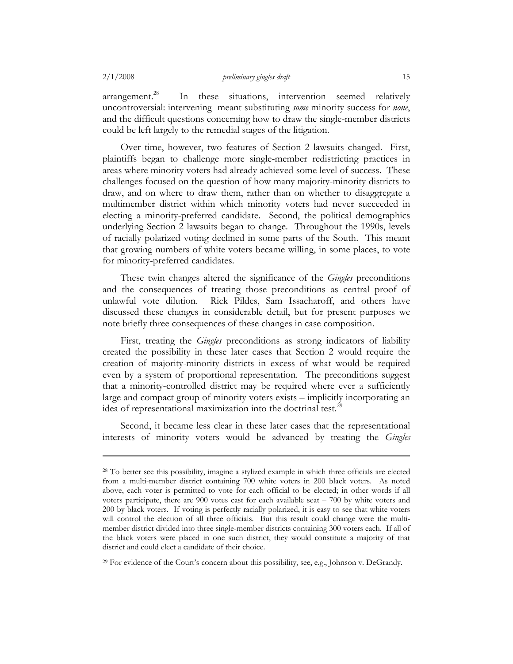$\alpha$ arrangement.<sup>28</sup> In these situations, intervention seemed relatively uncontroversial: intervening meant substituting *some* minority success for *none*, and the difficult questions concerning how to draw the single-member districts could be left largely to the remedial stages of the litigation.

Over time, however, two features of Section 2 lawsuits changed. First, plaintiffs began to challenge more single-member redistricting practices in areas where minority voters had already achieved some level of success. These challenges focused on the question of how many majority-minority districts to draw, and on where to draw them, rather than on whether to disaggregate a multimember district within which minority voters had never succeeded in electing a minority-preferred candidate. Second, the political demographics underlying Section 2 lawsuits began to change. Throughout the 1990s, levels of racially polarized voting declined in some parts of the South. This meant that growing numbers of white voters became willing, in some places, to vote for minority-preferred candidates.

These twin changes altered the significance of the *Gingles* preconditions and the consequences of treating those preconditions as central proof of unlawful vote dilution. Rick Pildes, Sam Issacharoff, and others have discussed these changes in considerable detail, but for present purposes we note briefly three consequences of these changes in case composition.

First, treating the *Gingles* preconditions as strong indicators of liability created the possibility in these later cases that Section 2 would require the creation of majority-minority districts in excess of what would be required even by a system of proportional representation. The preconditions suggest that a minority-controlled district may be required where ever a sufficiently large and compact group of minority voters exists – implicitly incorporating an idea of representational maximization into the doctrinal test.<sup>29</sup>

Second, it became less clear in these later cases that the representational interests of minority voters would be advanced by treating the *Gingles*

<sup>29</sup> For evidence of the Court's concern about this possibility, see, e.g., Johnson v. DeGrandy.

<sup>28</sup> To better see this possibility, imagine a stylized example in which three officials are elected from a multi-member district containing 700 white voters in 200 black voters. As noted above, each voter is permitted to vote for each official to be elected; in other words if all voters participate, there are 900 votes cast for each available seat – 700 by white voters and 200 by black voters. If voting is perfectly racially polarized, it is easy to see that white voters will control the election of all three officials. But this result could change were the multimember district divided into three single-member districts containing 300 voters each. If all of the black voters were placed in one such district, they would constitute a majority of that district and could elect a candidate of their choice.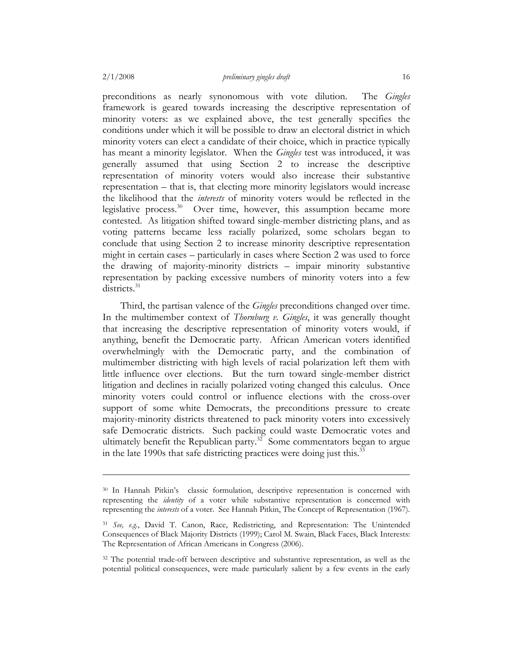preconditions as nearly synonomous with vote dilution. The *Gingles* framework is geared towards increasing the descriptive representation of minority voters: as we explained above, the test generally specifies the conditions under which it will be possible to draw an electoral district in which minority voters can elect a candidate of their choice, which in practice typically has meant a minority legislator. When the *Gingles* test was introduced, it was generally assumed that using Section 2 to increase the descriptive representation of minority voters would also increase their substantive representation – that is, that electing more minority legislators would increase the likelihood that the *interests* of minority voters would be reflected in the legislative process.<sup>30</sup> Over time, however, this assumption became more contested. As litigation shifted toward single-member districting plans, and as voting patterns became less racially polarized, some scholars began to conclude that using Section 2 to increase minority descriptive representation might in certain cases – particularly in cases where Section 2 was used to force the drawing of majority-minority districts – impair minority substantive representation by packing excessive numbers of minority voters into a few districts.<sup>31</sup>

Third, the partisan valence of the *Gingles* preconditions changed over time. In the multimember context of *Thornburg v. Gingles*, it was generally thought that increasing the descriptive representation of minority voters would, if anything, benefit the Democratic party. African American voters identified overwhelmingly with the Democratic party, and the combination of multimember districting with high levels of racial polarization left them with little influence over elections. But the turn toward single-member district litigation and declines in racially polarized voting changed this calculus. Once minority voters could control or influence elections with the cross-over support of some white Democrats, the preconditions pressure to create majority-minority districts threatened to pack minority voters into excessively safe Democratic districts. Such packing could waste Democratic votes and ultimately benefit the Republican party.<sup>32</sup> Some commentators began to argue in the late 1990s that safe districting practices were doing just this.<sup>33</sup>

<sup>30</sup> In Hannah Pitkin's classic formulation, descriptive representation is concerned with representing the *identity* of a voter while substantive representation is concerned with representing the *interests* of a voter. See Hannah Pitkin, The Concept of Representation (1967).

<sup>31</sup> *See, e.g.*, David T. Canon, Race, Redistricting, and Representation: The Unintended Consequences of Black Majority Districts (1999); Carol M. Swain, Black Faces, Black Interests: The Representation of African Americans in Congress (2006).

<sup>&</sup>lt;sup>32</sup> The potential trade-off between descriptive and substantive representation, as well as the potential political consequences, were made particularly salient by a few events in the early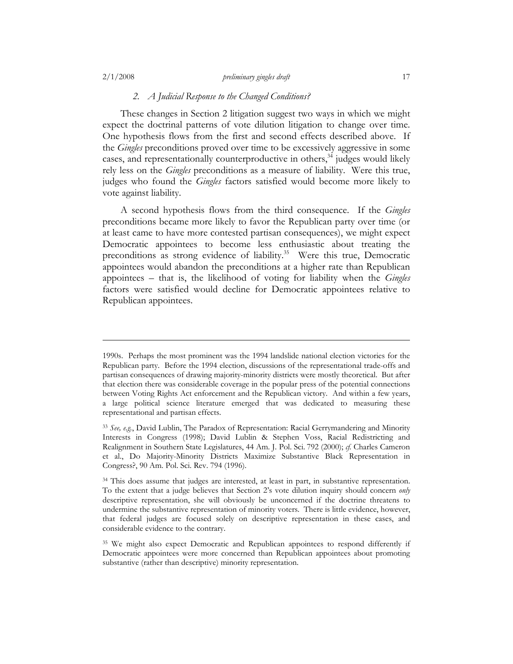### 2/1/2008 *preliminary gingles draft* 17

# *2. A Judicial Response to the Changed Conditions?*

These changes in Section 2 litigation suggest two ways in which we might expect the doctrinal patterns of vote dilution litigation to change over time. One hypothesis flows from the first and second effects described above. If the *Gingles* preconditions proved over time to be excessively aggressive in some cases, and representationally counterproductive in others,  $34$  judges would likely rely less on the *Gingles* preconditions as a measure of liability. Were this true, judges who found the *Gingles* factors satisfied would become more likely to vote against liability.

A second hypothesis flows from the third consequence. If the *Gingles* preconditions became more likely to favor the Republican party over time (or at least came to have more contested partisan consequences), we might expect Democratic appointees to become less enthusiastic about treating the preconditions as strong evidence of liability.<sup>35</sup> Were this true, Democratic appointees would abandon the preconditions at a higher rate than Republican appointees – that is, the likelihood of voting for liability when the *Gingles* factors were satisfied would decline for Democratic appointees relative to Republican appointees.

<sup>1990</sup>s. Perhaps the most prominent was the 1994 landslide national election victories for the Republican party. Before the 1994 election, discussions of the representational trade-offs and partisan consequences of drawing majority-minority districts were mostly theoretical. But after that election there was considerable coverage in the popular press of the potential connections between Voting Rights Act enforcement and the Republican victory. And within a few years, a large political science literature emerged that was dedicated to measuring these representational and partisan effects.

<sup>33</sup> *See, e.g.*, David Lublin, The Paradox of Representation: Racial Gerrymandering and Minority Interests in Congress (1998); David Lublin & Stephen Voss, Racial Redistricting and Realignment in Southern State Legislatures, 44 Am. J. Pol. Sci. 792 (2000); *cf.* Charles Cameron et al., Do Majority-Minority Districts Maximize Substantive Black Representation in Congress?, 90 Am. Pol. Sci. Rev. 794 (1996).

<sup>&</sup>lt;sup>34</sup> This does assume that judges are interested, at least in part, in substantive representation. To the extent that a judge believes that Section 2's vote dilution inquiry should concern *only* descriptive representation, she will obviously be unconcerned if the doctrine threatens to undermine the substantive representation of minority voters. There is little evidence, however, that federal judges are focused solely on descriptive representation in these cases, and considerable evidence to the contrary.

<sup>&</sup>lt;sup>35</sup> We might also expect Democratic and Republican appointees to respond differently if Democratic appointees were more concerned than Republican appointees about promoting substantive (rather than descriptive) minority representation.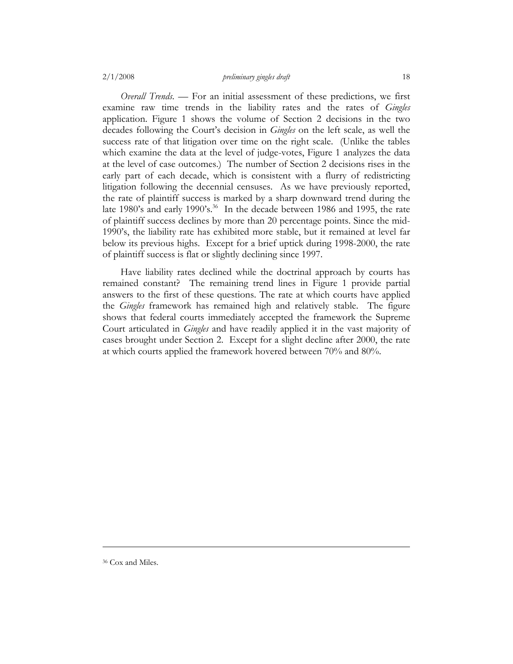#### 2/1/2008 *preliminary gingles draft* 18

*Overall Trends*. — For an initial assessment of these predictions, we first examine raw time trends in the liability rates and the rates of *Gingles* application. Figure 1 shows the volume of Section 2 decisions in the two decades following the Court's decision in *Gingles* on the left scale, as well the success rate of that litigation over time on the right scale. (Unlike the tables which examine the data at the level of judge-votes, Figure 1 analyzes the data at the level of case outcomes.) The number of Section 2 decisions rises in the early part of each decade, which is consistent with a flurry of redistricting litigation following the decennial censuses. As we have previously reported, the rate of plaintiff success is marked by a sharp downward trend during the late 1980's and early 1990's.<sup>36</sup> In the decade between 1986 and 1995, the rate of plaintiff success declines by more than 20 percentage points. Since the mid-1990's, the liability rate has exhibited more stable, but it remained at level far below its previous highs. Except for a brief uptick during 1998-2000, the rate of plaintiff success is flat or slightly declining since 1997.

Have liability rates declined while the doctrinal approach by courts has remained constant? The remaining trend lines in Figure 1 provide partial answers to the first of these questions. The rate at which courts have applied the *Gingles* framework has remained high and relatively stable. The figure shows that federal courts immediately accepted the framework the Supreme Court articulated in *Gingles* and have readily applied it in the vast majority of cases brought under Section 2. Except for a slight decline after 2000, the rate at which courts applied the framework hovered between 70% and 80%.

36 Cox and Miles.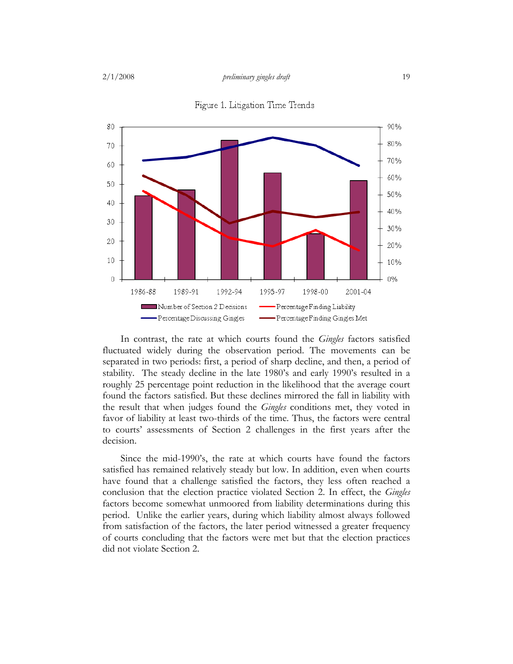

Figure 1. Litigation Time Trends

In contrast, the rate at which courts found the *Gingles* factors satisfied fluctuated widely during the observation period. The movements can be separated in two periods: first, a period of sharp decline, and then, a period of stability. The steady decline in the late 1980's and early 1990's resulted in a roughly 25 percentage point reduction in the likelihood that the average court found the factors satisfied. But these declines mirrored the fall in liability with the result that when judges found the *Gingles* conditions met, they voted in favor of liability at least two-thirds of the time. Thus, the factors were central to courts' assessments of Section 2 challenges in the first years after the decision.

Since the mid-1990's, the rate at which courts have found the factors satisfied has remained relatively steady but low. In addition, even when courts have found that a challenge satisfied the factors, they less often reached a conclusion that the election practice violated Section 2. In effect, the *Gingles*  factors become somewhat unmoored from liability determinations during this period. Unlike the earlier years, during which liability almost always followed from satisfaction of the factors, the later period witnessed a greater frequency of courts concluding that the factors were met but that the election practices did not violate Section 2.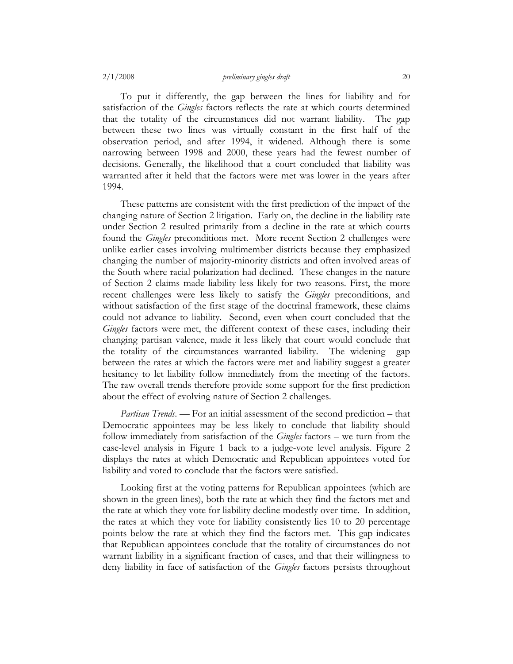To put it differently, the gap between the lines for liability and for satisfaction of the *Gingles* factors reflects the rate at which courts determined that the totality of the circumstances did not warrant liability. The gap between these two lines was virtually constant in the first half of the observation period, and after 1994, it widened. Although there is some narrowing between 1998 and 2000, these years had the fewest number of decisions. Generally, the likelihood that a court concluded that liability was warranted after it held that the factors were met was lower in the years after 1994.

These patterns are consistent with the first prediction of the impact of the changing nature of Section 2 litigation. Early on, the decline in the liability rate under Section 2 resulted primarily from a decline in the rate at which courts found the *Gingles* preconditions met. More recent Section 2 challenges were unlike earlier cases involving multimember districts because they emphasized changing the number of majority-minority districts and often involved areas of the South where racial polarization had declined. These changes in the nature of Section 2 claims made liability less likely for two reasons. First, the more recent challenges were less likely to satisfy the *Gingles* preconditions, and without satisfaction of the first stage of the doctrinal framework, these claims could not advance to liability. Second, even when court concluded that the *Gingles* factors were met, the different context of these cases, including their changing partisan valence, made it less likely that court would conclude that the totality of the circumstances warranted liability. The widening gap between the rates at which the factors were met and liability suggest a greater hesitancy to let liability follow immediately from the meeting of the factors. The raw overall trends therefore provide some support for the first prediction about the effect of evolving nature of Section 2 challenges.

*Partisan Trends*. — For an initial assessment of the second prediction – that Democratic appointees may be less likely to conclude that liability should follow immediately from satisfaction of the *Gingles* factors – we turn from the case-level analysis in Figure 1 back to a judge-vote level analysis. Figure 2 displays the rates at which Democratic and Republican appointees voted for liability and voted to conclude that the factors were satisfied.

Looking first at the voting patterns for Republican appointees (which are shown in the green lines), both the rate at which they find the factors met and the rate at which they vote for liability decline modestly over time. In addition, the rates at which they vote for liability consistently lies 10 to 20 percentage points below the rate at which they find the factors met. This gap indicates that Republican appointees conclude that the totality of circumstances do not warrant liability in a significant fraction of cases, and that their willingness to deny liability in face of satisfaction of the *Gingles* factors persists throughout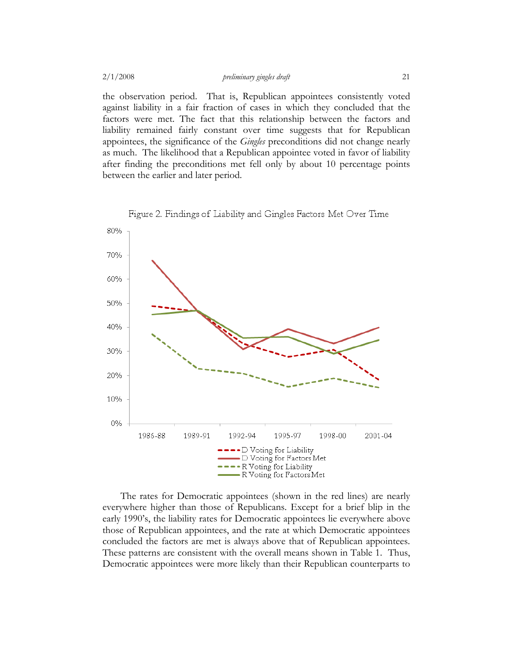the observation period. That is, Republican appointees consistently voted against liability in a fair fraction of cases in which they concluded that the factors were met. The fact that this relationship between the factors and liability remained fairly constant over time suggests that for Republican appointees, the significance of the *Gingles* preconditions did not change nearly as much. The likelihood that a Republican appointee voted in favor of liability after finding the preconditions met fell only by about 10 percentage points between the earlier and later period.



Figure 2. Findings of Liability and Gingles Factors Met Over Time

The rates for Democratic appointees (shown in the red lines) are nearly everywhere higher than those of Republicans. Except for a brief blip in the early 1990's, the liability rates for Democratic appointees lie everywhere above those of Republican appointees, and the rate at which Democratic appointees concluded the factors are met is always above that of Republican appointees. These patterns are consistent with the overall means shown in Table 1. Thus, Democratic appointees were more likely than their Republican counterparts to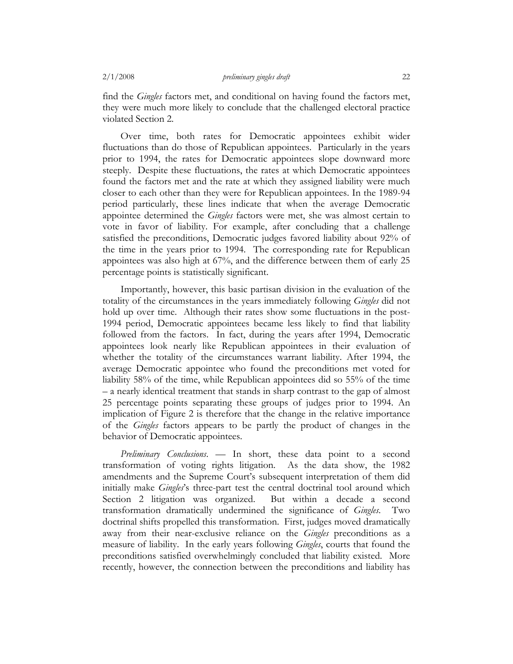find the *Gingles* factors met, and conditional on having found the factors met, they were much more likely to conclude that the challenged electoral practice violated Section 2.

Over time, both rates for Democratic appointees exhibit wider fluctuations than do those of Republican appointees. Particularly in the years prior to 1994, the rates for Democratic appointees slope downward more steeply. Despite these fluctuations, the rates at which Democratic appointees found the factors met and the rate at which they assigned liability were much closer to each other than they were for Republican appointees. In the 1989-94 period particularly, these lines indicate that when the average Democratic appointee determined the *Gingles* factors were met, she was almost certain to vote in favor of liability. For example, after concluding that a challenge satisfied the preconditions, Democratic judges favored liability about 92% of the time in the years prior to 1994. The corresponding rate for Republican appointees was also high at 67%, and the difference between them of early 25 percentage points is statistically significant.

Importantly, however, this basic partisan division in the evaluation of the totality of the circumstances in the years immediately following *Gingles* did not hold up over time. Although their rates show some fluctuations in the post-1994 period, Democratic appointees became less likely to find that liability followed from the factors. In fact, during the years after 1994, Democratic appointees look nearly like Republican appointees in their evaluation of whether the totality of the circumstances warrant liability. After 1994, the average Democratic appointee who found the preconditions met voted for liability 58% of the time, while Republican appointees did so 55% of the time – a nearly identical treatment that stands in sharp contrast to the gap of almost 25 percentage points separating these groups of judges prior to 1994. An implication of Figure 2 is therefore that the change in the relative importance of the *Gingles* factors appears to be partly the product of changes in the behavior of Democratic appointees.

*Preliminary Conclusions*. — In short, these data point to a second transformation of voting rights litigation. As the data show, the 1982 amendments and the Supreme Court's subsequent interpretation of them did initially make *Gingles*'s three-part test the central doctrinal tool around which Section 2 litigation was organized. But within a decade a second transformation dramatically undermined the significance of *Gingles*. Two doctrinal shifts propelled this transformation. First, judges moved dramatically away from their near-exclusive reliance on the *Gingles* preconditions as a measure of liability. In the early years following *Gingles*, courts that found the preconditions satisfied overwhelmingly concluded that liability existed. More recently, however, the connection between the preconditions and liability has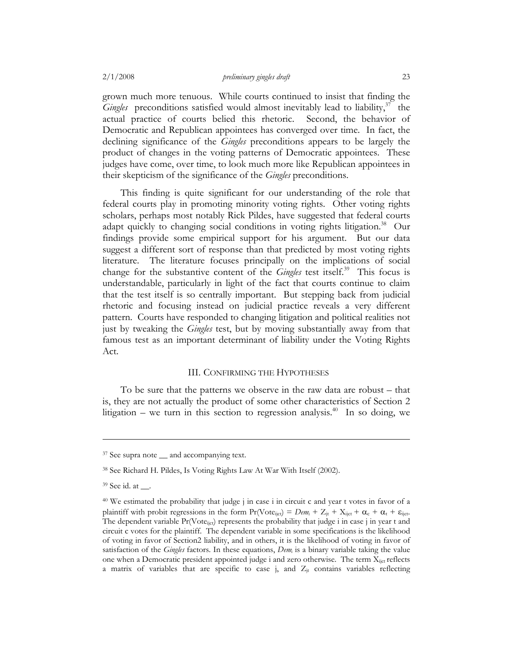grown much more tenuous. While courts continued to insist that finding the *Gingles* preconditions satisfied would almost inevitably lead to liability, $37$  the actual practice of courts belied this rhetoric. Second, the behavior of Democratic and Republican appointees has converged over time. In fact, the declining significance of the *Gingles* preconditions appears to be largely the product of changes in the voting patterns of Democratic appointees. These judges have come, over time, to look much more like Republican appointees in their skepticism of the significance of the *Gingles* preconditions.

This finding is quite significant for our understanding of the role that federal courts play in promoting minority voting rights. Other voting rights scholars, perhaps most notably Rick Pildes, have suggested that federal courts adapt quickly to changing social conditions in voting rights litigation.<sup>38</sup> Our findings provide some empirical support for his argument. But our data suggest a different sort of response than that predicted by most voting rights literature. The literature focuses principally on the implications of social change for the substantive content of the *Gingles* test itself.<sup>39</sup> This focus is understandable, particularly in light of the fact that courts continue to claim that the test itself is so centrally important. But stepping back from judicial rhetoric and focusing instead on judicial practice reveals a very different pattern. Courts have responded to changing litigation and political realities not just by tweaking the *Gingles* test, but by moving substantially away from that famous test as an important determinant of liability under the Voting Rights Act.

#### III. CONFIRMING THE HYPOTHESES

To be sure that the patterns we observe in the raw data are robust – that is, they are not actually the product of some other characteristics of Section 2 litigation – we turn in this section to regression analysis.<sup>40</sup> In so doing, we

<sup>&</sup>lt;sup>37</sup> See supra note \_\_ and accompanying text.

<sup>38</sup> See Richard H. Pildes, Is Voting Rights Law At War With Itself (2002).

<sup>&</sup>lt;sup>39</sup> See id. at .

<sup>40</sup> We estimated the probability that judge j in case i in circuit c and year t votes in favor of a plaintiff with probit regressions in the form  $Pr(\text{Vote}_{\text{ijct}}) = Dem_i + Z_{\text{jt}} + X_{\text{ijct}} + \alpha_c + \alpha_t + \varepsilon_{\text{ijct}}$ . The dependent variable Pr(Vote<sub>ijct</sub>) represents the probability that judge i in case j in year t and circuit c votes for the plaintiff. The dependent variable in some specifications is the likelihood of voting in favor of Section2 liability, and in others, it is the likelihood of voting in favor of satisfaction of the *Gingles* factors. In these equations, *Dem*<sub>i</sub> is a binary variable taking the value one when a Democratic president appointed judge i and zero otherwise. The term X<sub>ijct</sub> reflects a matrix of variables that are specific to case j, and  $Z_{it}$  contains variables reflecting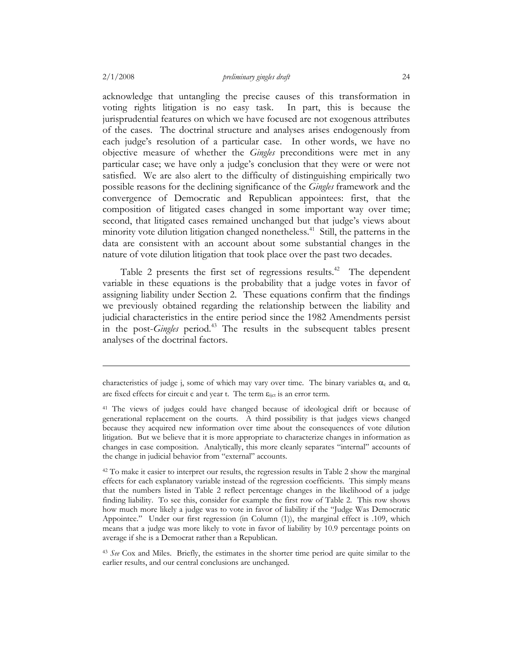acknowledge that untangling the precise causes of this transformation in voting rights litigation is no easy task. In part, this is because the jurisprudential features on which we have focused are not exogenous attributes of the cases. The doctrinal structure and analyses arises endogenously from each judge's resolution of a particular case. In other words, we have no objective measure of whether the *Gingles* preconditions were met in any particular case; we have only a judge's conclusion that they were or were not satisfied. We are also alert to the difficulty of distinguishing empirically two possible reasons for the declining significance of the *Gingles* framework and the convergence of Democratic and Republican appointees: first, that the composition of litigated cases changed in some important way over time; second, that litigated cases remained unchanged but that judge's views about minority vote dilution litigation changed nonetheless.<sup>41</sup> Still, the patterns in the data are consistent with an account about some substantial changes in the nature of vote dilution litigation that took place over the past two decades.

Table 2 presents the first set of regressions results.<sup>42</sup> The dependent variable in these equations is the probability that a judge votes in favor of assigning liability under Section 2. These equations confirm that the findings we previously obtained regarding the relationship between the liability and judicial characteristics in the entire period since the 1982 Amendments persist in the post-*Gingles* period.<sup>43</sup> The results in the subsequent tables present analyses of the doctrinal factors.

<sup>43</sup> *See* Cox and Miles. Briefly, the estimates in the shorter time period are quite similar to the earlier results, and our central conclusions are unchanged.

characteristics of judge j, some of which may vary over time. The binary variables  $\alpha_c$  and  $\alpha_t$ are fixed effects for circuit c and year t. The term  $\varepsilon_{\text{int}}$  is an error term.

<sup>41</sup> The views of judges could have changed because of ideological drift or because of generational replacement on the courts. A third possibility is that judges views changed because they acquired new information over time about the consequences of vote dilution litigation. But we believe that it is more appropriate to characterize changes in information as changes in case composition. Analytically, this more cleanly separates "internal" accounts of the change in judicial behavior from "external" accounts.

<sup>&</sup>lt;sup>42</sup> To make it easier to interpret our results, the regression results in Table 2 show the marginal effects for each explanatory variable instead of the regression coefficients. This simply means that the numbers listed in Table 2 reflect percentage changes in the likelihood of a judge finding liability. To see this, consider for example the first row of Table 2. This row shows how much more likely a judge was to vote in favor of liability if the "Judge Was Democratic Appointee." Under our first regression (in Column (1)), the marginal effect is .109, which means that a judge was more likely to vote in favor of liability by 10.9 percentage points on average if she is a Democrat rather than a Republican.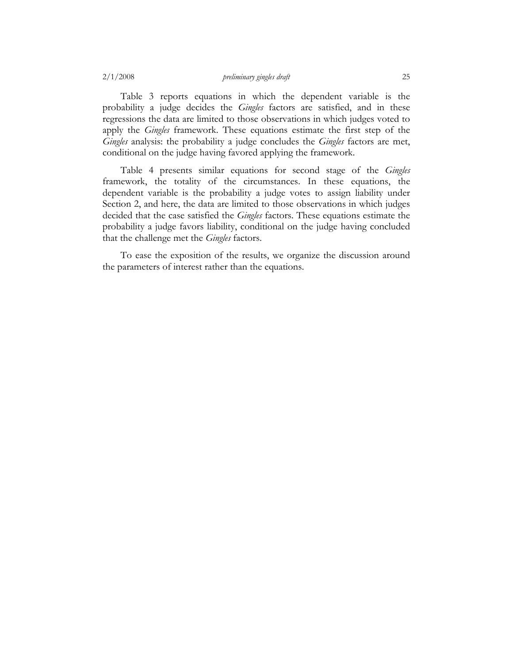Table 3 reports equations in which the dependent variable is the probability a judge decides the *Gingles* factors are satisfied, and in these regressions the data are limited to those observations in which judges voted to apply the *Gingles* framework. These equations estimate the first step of the *Gingles* analysis: the probability a judge concludes the *Gingles* factors are met, conditional on the judge having favored applying the framework.

Table 4 presents similar equations for second stage of the *Gingles* framework, the totality of the circumstances. In these equations, the dependent variable is the probability a judge votes to assign liability under Section 2, and here, the data are limited to those observations in which judges decided that the case satisfied the *Gingles* factors. These equations estimate the probability a judge favors liability, conditional on the judge having concluded that the challenge met the *Gingles* factors.

To ease the exposition of the results, we organize the discussion around the parameters of interest rather than the equations.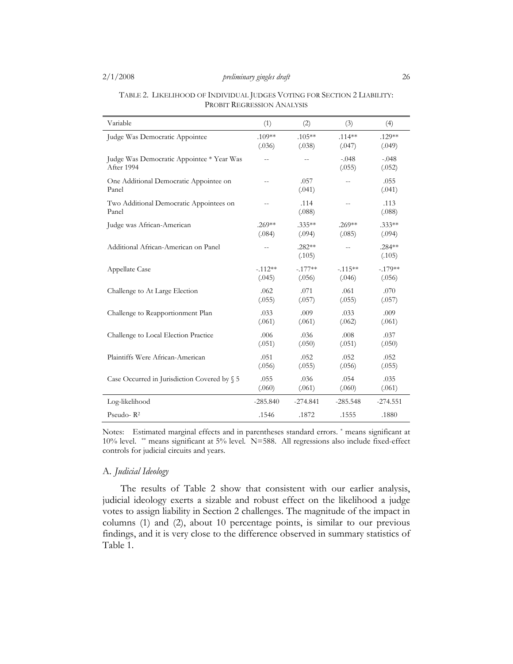| Variable                                                | (1)        | (2)                | (3)               | (4)                |
|---------------------------------------------------------|------------|--------------------|-------------------|--------------------|
| Judge Was Democratic Appointee                          | $.109**$   | $.105**$           | $.114***$         | $.129**$           |
|                                                         | (.036)     | (.038)             | (.047)            | (.049)             |
| Judge Was Democratic Appointee * Year Was<br>After 1994 | $-$        | $\overline{a}$     | $-.048$<br>(.055) | $-.048$<br>(.052)  |
| One Additional Democratic Appointee on<br>Panel         |            | .057<br>(.041)     | $\overline{a}$    | .055<br>(.041)     |
| Two Additional Democratic Appointees on<br>Panel        |            | .114<br>(.088)     | $-$               | .113<br>(.088)     |
| Judge was African-American                              | $.269**$   | $.335**$           | $.269**$          | $.333**$           |
|                                                         | (.084)     | (.094)             | (.085)            | (.094)             |
| Additional African-American on Panel                    |            | $.282**$<br>(.105) | $\overline{a}$    | $.284**$<br>(.105) |
| Appellate Case                                          | $-112**$   | $-.177**$          | $-.115**$         | $-.179**$          |
|                                                         | (.045)     | (.056)             | (.046)            | (.056)             |
| Challenge to At Large Election                          | .062       | .071               | .061              | .070               |
|                                                         | (.055)     | (.057)             | (.055)            | (.057)             |
| Challenge to Reapportionment Plan                       | .033       | .009               | .033              | .009               |
|                                                         | (.061)     | (.061)             | (.062)            | (.061)             |
| Challenge to Local Election Practice                    | .006       | .036               | .008              | .037               |
|                                                         | (.051)     | (.050)             | (.051)            | (.050)             |
| Plaintiffs Were African-American                        | .051       | .052               | .052              | .052               |
|                                                         | (.056)     | (.055)             | (.056)            | (.055)             |
| Case Occurred in Jurisdiction Covered by § 5            | .055       | .036               | .054              | .035               |
|                                                         | (.060)     | (.061)             | (.060)            | (.061)             |
| Log-likelihood                                          | $-285.840$ | $-274.841$         | $-285.548$        | $-274.551$         |
| Pseudo- $R^2$                                           | .1546      | .1872              | .1555             | .1880              |

| TABLE 2. LIKELIHOOD OF INDIVIDUAL JUDGES VOTING FOR SECTION 2 LIABILITY: |
|--------------------------------------------------------------------------|
| PROBIT REGRESSION ANALYSIS                                               |

Notes: Estimated marginal effects and in parentheses standard errors. \* means significant at 10% level. \*\* means significant at 5% level. N=588. All regressions also include fixed-effect controls for judicial circuits and years.

# A. *Judicial Ideology*

The results of Table 2 show that consistent with our earlier analysis, judicial ideology exerts a sizable and robust effect on the likelihood a judge votes to assign liability in Section 2 challenges. The magnitude of the impact in columns (1) and (2), about 10 percentage points, is similar to our previous findings, and it is very close to the difference observed in summary statistics of Table 1.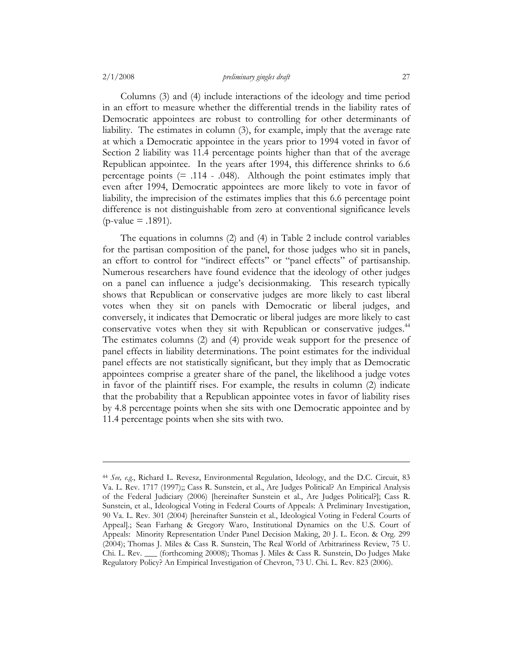#### 2/1/2008 *preliminary gingles draft* 27

Columns (3) and (4) include interactions of the ideology and time period in an effort to measure whether the differential trends in the liability rates of Democratic appointees are robust to controlling for other determinants of liability. The estimates in column (3), for example, imply that the average rate at which a Democratic appointee in the years prior to 1994 voted in favor of Section 2 liability was 11.4 percentage points higher than that of the average Republican appointee. In the years after 1994, this difference shrinks to 6.6 percentage points  $(= .114 - .048)$ . Although the point estimates imply that even after 1994, Democratic appointees are more likely to vote in favor of liability, the imprecision of the estimates implies that this 6.6 percentage point difference is not distinguishable from zero at conventional significance levels  $(p$ -value = .1891).

The equations in columns (2) and (4) in Table 2 include control variables for the partisan composition of the panel, for those judges who sit in panels, an effort to control for "indirect effects" or "panel effects" of partisanship. Numerous researchers have found evidence that the ideology of other judges on a panel can influence a judge's decisionmaking. This research typically shows that Republican or conservative judges are more likely to cast liberal votes when they sit on panels with Democratic or liberal judges, and conversely, it indicates that Democratic or liberal judges are more likely to cast conservative votes when they sit with Republican or conservative judges.<sup>44</sup> The estimates columns (2) and (4) provide weak support for the presence of panel effects in liability determinations. The point estimates for the individual panel effects are not statistically significant, but they imply that as Democratic appointees comprise a greater share of the panel, the likelihood a judge votes in favor of the plaintiff rises. For example, the results in column (2) indicate that the probability that a Republican appointee votes in favor of liability rises by 4.8 percentage points when she sits with one Democratic appointee and by 11.4 percentage points when she sits with two.

<sup>44</sup> *See, e.g.*, Richard L. Revesz, Environmental Regulation, Ideology, and the D.C. Circuit, 83 Va. L. Rev. 1717 (1997);; Cass R. Sunstein, et al., Are Judges Political? An Empirical Analysis of the Federal Judiciary (2006) [hereinafter Sunstein et al., Are Judges Political?]; Cass R. Sunstein, et al., Ideological Voting in Federal Courts of Appeals: A Preliminary Investigation, 90 Va. L. Rev. 301 (2004) [hereinafter Sunstein et al., Ideological Voting in Federal Courts of Appeal].; Sean Farhang & Gregory Waro, Institutional Dynamics on the U.S. Court of Appeals: Minority Representation Under Panel Decision Making, 20 J. L. Econ. & Org. 299 (2004); Thomas J. Miles & Cass R. Sunstein, The Real World of Arbitrariness Review, 75 U. Chi. L. Rev. \_\_\_ (forthcoming 20008); Thomas J. Miles & Cass R. Sunstein, Do Judges Make Regulatory Policy? An Empirical Investigation of Chevron, 73 U. Chi. L. Rev. 823 (2006).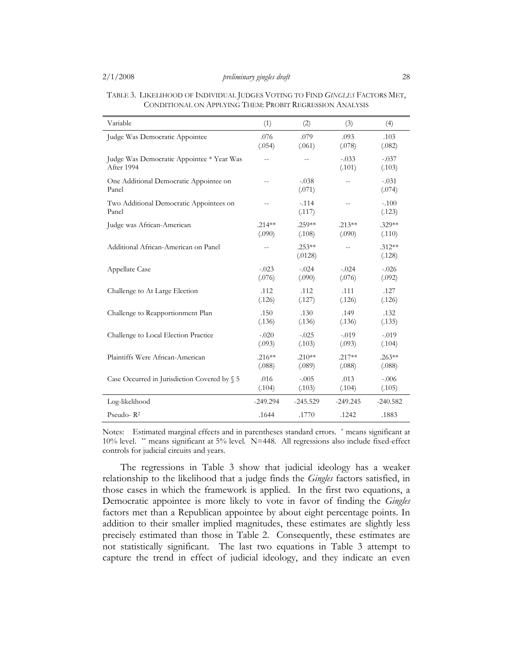| Variable                                                | (1)        | (2)                 | (3)               | (4)                |
|---------------------------------------------------------|------------|---------------------|-------------------|--------------------|
| Judge Was Democratic Appointee                          | .076       | .079                | .093              | .103               |
|                                                         | (.054)     | (.061)              | (.078)            | (.082)             |
| Judge Was Democratic Appointee * Year Was<br>After 1994 | $-$        | $-$                 | $-.033$<br>(.101) | $-.037$<br>(.103)  |
| One Additional Democratic Appointee on<br>Panel         | $-$        | $-.038$<br>(.071)   | $\overline{a}$    | $-.031$<br>(.074)  |
| Two Additional Democratic Appointees on<br>Panel        |            | $-.114$<br>(.117)   | $-$               | $-.100$<br>(.123)  |
| Judge was African-American                              | $.214**$   | .259**              | $.213**$          | $.329**$           |
|                                                         | (.090)     | (.108)              | (.090)            | (.110)             |
| Additional African-American on Panel                    | $-$        | $.253**$<br>(.0128) | $-$               | $.312**$<br>(.128) |
| Appellate Case                                          | $-.023$    | $-.024$             | $-.024$           | $-.026$            |
|                                                         | (.076)     | (.090)              | (.076)            | (.092)             |
| Challenge to At Large Election                          | .112       | .112                | .111              | .127               |
|                                                         | (.126)     | (.127)              | (.126)            | (.126)             |
| Challenge to Reapportionment Plan                       | .150       | .130                | .149              | .132               |
|                                                         | (.136)     | (.136)              | (.136)            | (.135)             |
| Challenge to Local Election Practice                    | $-.020$    | $-.025$             | $-.019$           | $-.019$            |
|                                                         | (.093)     | (.103)              | (.093)            | (.104)             |
| Plaintiffs Were African-American                        | $.216**$   | $.210**$            | $.217**$          | $.263**$           |
|                                                         | (.088)     | (.089)              | (.088)            | (.088)             |
| Case Occurred in Jurisdiction Covered by § 5            | .016       | $-.005$             | .013              | $-.006$            |
|                                                         | (.104)     | (.103)              | (.104)            | (.105)             |
| Log-likelihood                                          | $-249.294$ | $-245.529$          | $-249.245$        | $-240.582$         |
| Pseudo-R <sup>2</sup>                                   | .1644      | .1770               | .1242             | .1883              |

| TABLE 3. LIKELIHOOD OF INDIVIDUAL JUDGES VOTING TO FIND GINGLES FACTORS MET, |  |
|------------------------------------------------------------------------------|--|
| CONDITIONAL ON APPLYING THEM: PROBIT REGRESSION ANALYSIS                     |  |

Notes: Estimated marginal effects and in parentheses standard errors. \* means significant at 10% level. \*\* means significant at 5% level. N=448. All regressions also include fixed-effect controls for judicial circuits and years.

The regressions in Table 3 show that judicial ideology has a weaker relationship to the likelihood that a judge finds the *Gingles* factors satisfied, in those cases in which the framework is applied. In the first two equations, a Democratic appointee is more likely to vote in favor of finding the *Gingles* factors met than a Republican appointee by about eight percentage points. In addition to their smaller implied magnitudes, these estimates are slightly less precisely estimated than those in Table 2. Consequently, these estimates are not statistically significant. The last two equations in Table 3 attempt to capture the trend in effect of judicial ideology, and they indicate an even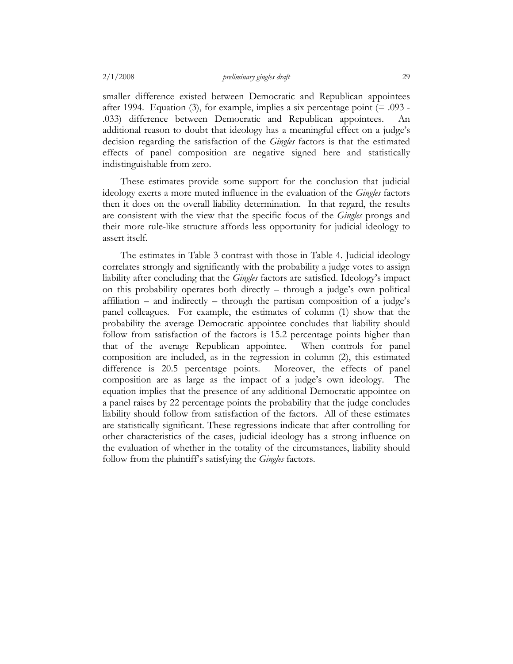smaller difference existed between Democratic and Republican appointees after 1994. Equation (3), for example, implies a six percentage point  $(= .093 - )$ .033) difference between Democratic and Republican appointees. An additional reason to doubt that ideology has a meaningful effect on a judge's decision regarding the satisfaction of the *Gingles* factors is that the estimated effects of panel composition are negative signed here and statistically indistinguishable from zero.

These estimates provide some support for the conclusion that judicial ideology exerts a more muted influence in the evaluation of the *Gingles* factors then it does on the overall liability determination. In that regard, the results are consistent with the view that the specific focus of the *Gingles* prongs and their more rule-like structure affords less opportunity for judicial ideology to assert itself.

The estimates in Table 3 contrast with those in Table 4. Judicial ideology correlates strongly and significantly with the probability a judge votes to assign liability after concluding that the *Gingles* factors are satisfied. Ideology's impact on this probability operates both directly – through a judge's own political affiliation – and indirectly – through the partisan composition of a judge's panel colleagues. For example, the estimates of column (1) show that the probability the average Democratic appointee concludes that liability should follow from satisfaction of the factors is 15.2 percentage points higher than that of the average Republican appointee. When controls for panel composition are included, as in the regression in column (2), this estimated difference is 20.5 percentage points. Moreover, the effects of panel composition are as large as the impact of a judge's own ideology. The equation implies that the presence of any additional Democratic appointee on a panel raises by 22 percentage points the probability that the judge concludes liability should follow from satisfaction of the factors. All of these estimates are statistically significant. These regressions indicate that after controlling for other characteristics of the cases, judicial ideology has a strong influence on the evaluation of whether in the totality of the circumstances, liability should follow from the plaintiff's satisfying the *Gingles* factors.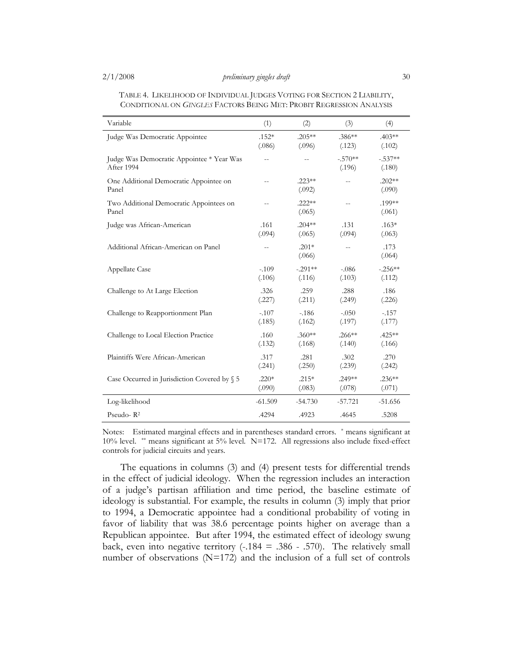| Variable                                                | (1)       | (2)                | (3)                 | (4)                 |
|---------------------------------------------------------|-----------|--------------------|---------------------|---------------------|
| Judge Was Democratic Appointee                          | $.152*$   | $.205**$           | $.386**$            | $.403**$            |
|                                                         | (.086)    | (.096)             | (.123)              | (.102)              |
| Judge Was Democratic Appointee * Year Was<br>After 1994 | $-$       | $\overline{a}$     | $-.570**$<br>(.196) | $-.537**$<br>(.180) |
| One Additional Democratic Appointee on<br>Panel         | $-$       | $.223**$<br>(.092) | $-$                 | $.202**$<br>(.090)  |
| Two Additional Democratic Appointees on<br>Panel        |           | $.222**$<br>(.065) | $\overline{a}$      | .199**<br>(.061)    |
| Judge was African-American                              | .161      | $.204***$          | .131                | $.163*$             |
|                                                         | (.094)    | (.065)             | (.094)              | (.063)              |
| Additional African-American on Panel                    |           | $.201*$<br>(.066)  | $\overline{a}$      | .173<br>(.064)      |
| Appellate Case                                          | $-.109$   | $-.291**$          | $-.086$             | $-.256**$           |
|                                                         | (.106)    | (.116)             | (.103)              | (.112)              |
| Challenge to At Large Election                          | .326      | .259               | .288                | .186                |
|                                                         | (.227)    | (.211)             | (.249)              | (.226)              |
| Challenge to Reapportionment Plan                       | $-.107$   | $-186$             | $-.050$             | $-.157$             |
|                                                         | (.185)    | (.162)             | (.197)              | (.177)              |
| Challenge to Local Election Practice                    | .160      | $.360**$           | $.266**$            | $.425**$            |
|                                                         | (.132)    | (.168)             | (.140)              | (.166)              |
| Plaintiffs Were African-American                        | .317      | .281               | .302                | .270                |
|                                                         | (.241)    | (.250)             | (.239)              | (.242)              |
| Case Occurred in Jurisdiction Covered by § 5            | $.220*$   | $.215*$            | $.249**$            | $.236**$            |
|                                                         | (.090)    | (.083)             | (.078)              | (.071)              |
| Log-likelihood                                          | $-61.509$ | $-54.730$          | $-57.721$           | $-51.656$           |
| Pseudo-R <sup>2</sup>                                   | .4294     | .4923              | .4645               | .5208               |

TABLE 4. LIKELIHOOD OF INDIVIDUAL JUDGES VOTING FOR SECTION 2 LIABILITY, CONDITIONAL ON *GINGLES* FACTORS BEING MET: PROBIT REGRESSION ANALYSIS

Notes: Estimated marginal effects and in parentheses standard errors. \* means significant at  $10\%$  level. \*\* means significant at 5% level. N=172. All regressions also include fixed-effect controls for judicial circuits and years.

The equations in columns (3) and (4) present tests for differential trends in the effect of judicial ideology. When the regression includes an interaction of a judge's partisan affiliation and time period, the baseline estimate of ideology is substantial. For example, the results in column (3) imply that prior to 1994, a Democratic appointee had a conditional probability of voting in favor of liability that was 38.6 percentage points higher on average than a Republican appointee. But after 1994, the estimated effect of ideology swung back, even into negative territory  $(-184 = .386 - .570)$ . The relatively small number of observations (N=172) and the inclusion of a full set of controls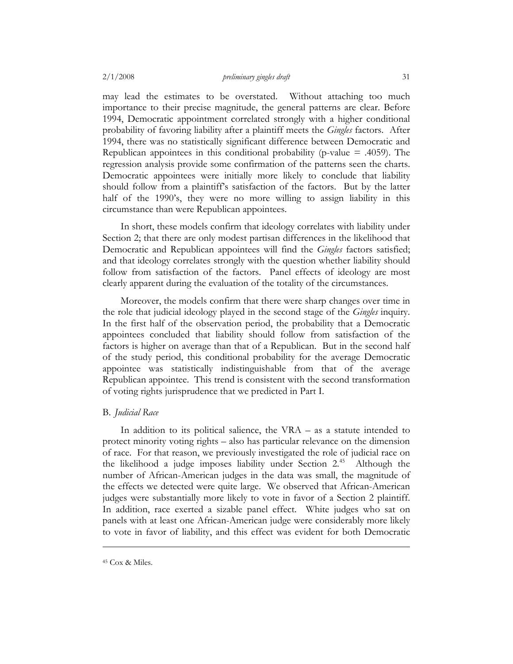may lead the estimates to be overstated. Without attaching too much importance to their precise magnitude, the general patterns are clear. Before 1994, Democratic appointment correlated strongly with a higher conditional probability of favoring liability after a plaintiff meets the *Gingles* factors. After 1994, there was no statistically significant difference between Democratic and Republican appointees in this conditional probability (p-value  $= .4059$ ). The regression analysis provide some confirmation of the patterns seen the charts. Democratic appointees were initially more likely to conclude that liability should follow from a plaintiff's satisfaction of the factors. But by the latter half of the 1990's, they were no more willing to assign liability in this circumstance than were Republican appointees.

In short, these models confirm that ideology correlates with liability under Section 2; that there are only modest partisan differences in the likelihood that Democratic and Republican appointees will find the *Gingles* factors satisfied; and that ideology correlates strongly with the question whether liability should follow from satisfaction of the factors. Panel effects of ideology are most clearly apparent during the evaluation of the totality of the circumstances.

Moreover, the models confirm that there were sharp changes over time in the role that judicial ideology played in the second stage of the *Gingles* inquiry. In the first half of the observation period, the probability that a Democratic appointees concluded that liability should follow from satisfaction of the factors is higher on average than that of a Republican. But in the second half of the study period, this conditional probability for the average Democratic appointee was statistically indistinguishable from that of the average Republican appointee. This trend is consistent with the second transformation of voting rights jurisprudence that we predicted in Part I.

# B. *Judicial Race*

In addition to its political salience, the VRA – as a statute intended to protect minority voting rights – also has particular relevance on the dimension of race. For that reason, we previously investigated the role of judicial race on the likelihood a judge imposes liability under Section  $2^{45}$  Although the number of African-American judges in the data was small, the magnitude of the effects we detected were quite large. We observed that African-American judges were substantially more likely to vote in favor of a Section 2 plaintiff. In addition, race exerted a sizable panel effect. White judges who sat on panels with at least one African-American judge were considerably more likely to vote in favor of liability, and this effect was evident for both Democratic

<sup>45</sup> Cox & Miles.